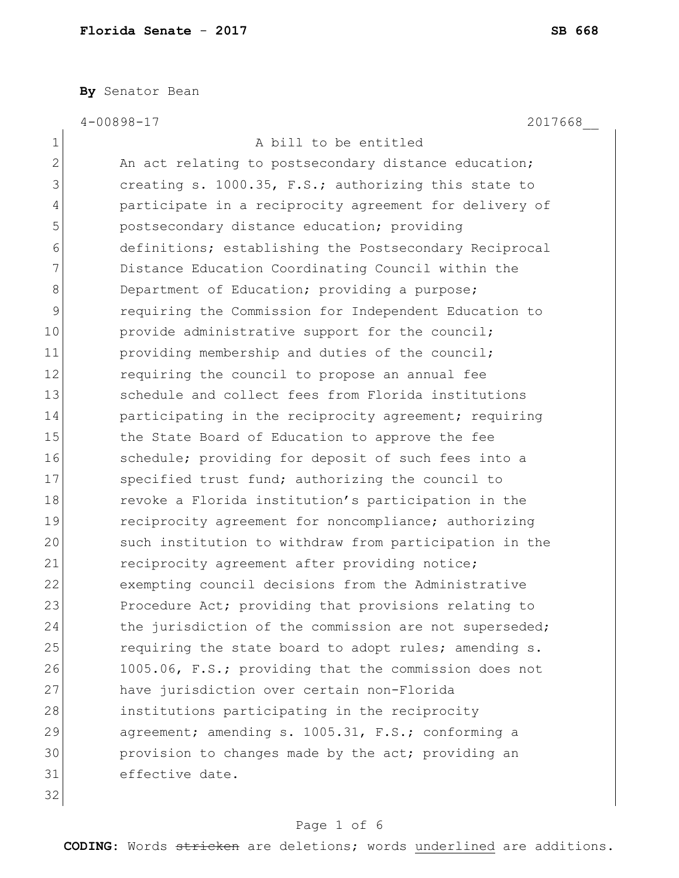**By** Senator Bean

4-00898-17 2017668\_\_

|                | 1 <i>1</i> 0 0 0                                       |
|----------------|--------------------------------------------------------|
| 1              | A bill to be entitled                                  |
| $\overline{2}$ | An act relating to postsecondary distance education;   |
| 3              | creating s. 1000.35, F.S.; authorizing this state to   |
| 4              | participate in a reciprocity agreement for delivery of |
| 5              | postsecondary distance education; providing            |
| 6              | definitions; establishing the Postsecondary Reciprocal |
| 7              | Distance Education Coordinating Council within the     |
| 8              | Department of Education; providing a purpose;          |
| 9              | requiring the Commission for Independent Education to  |
| 10             | provide administrative support for the council;        |
| 11             | providing membership and duties of the council;        |
| 12             | requiring the council to propose an annual fee         |
| 13             | schedule and collect fees from Florida institutions    |
| 14             | participating in the reciprocity agreement; requiring  |
| 15             | the State Board of Education to approve the fee        |
| 16             | schedule; providing for deposit of such fees into a    |
| 17             | specified trust fund; authorizing the council to       |
| 18             | revoke a Florida institution's participation in the    |
| 19             | reciprocity agreement for noncompliance; authorizing   |
| 20             | such institution to withdraw from participation in the |
| 21             | reciprocity agreement after providing notice;          |
| 22             | exempting council decisions from the Administrative    |
| 23             | Procedure Act; providing that provisions relating to   |
| 24             | the jurisdiction of the commission are not superseded; |
| 25             | requiring the state board to adopt rules; amending s.  |
| 26             | 1005.06, F.S.; providing that the commission does not  |
| 27             | have jurisdiction over certain non-Florida             |
| 28             | institutions participating in the reciprocity          |
| 29             | agreement; amending s. 1005.31, F.S.; conforming a     |
| 30             | provision to changes made by the act; providing an     |
| 31             | effective date.                                        |
| 32             |                                                        |

# Page 1 of 6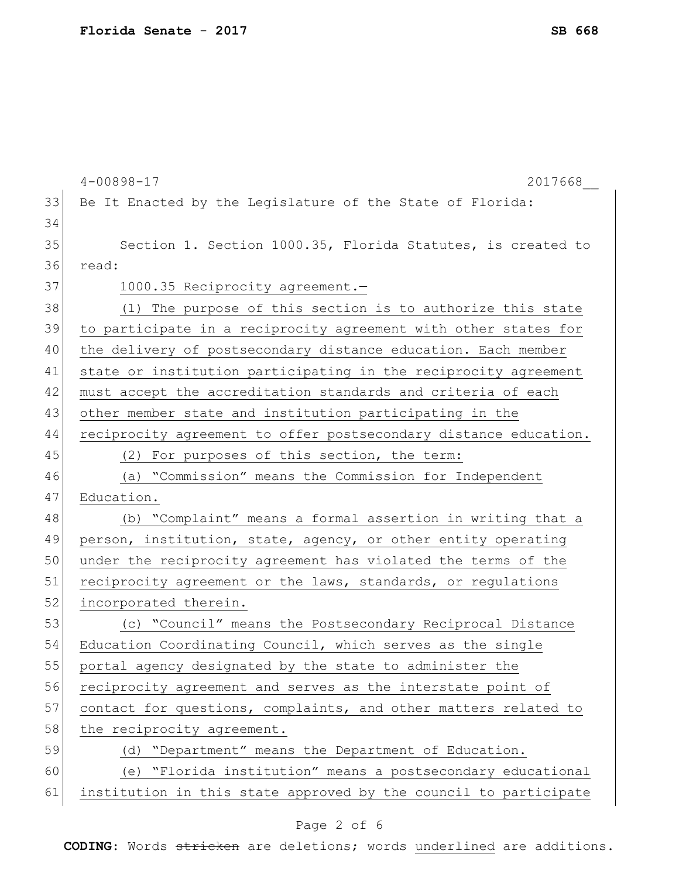|    | $4 - 00898 - 17$<br>2017668                                      |
|----|------------------------------------------------------------------|
| 33 | Be It Enacted by the Legislature of the State of Florida:        |
| 34 |                                                                  |
| 35 | Section 1. Section 1000.35, Florida Statutes, is created to      |
| 36 | read:                                                            |
| 37 | 1000.35 Reciprocity agreement.-                                  |
| 38 | (1) The purpose of this section is to authorize this state       |
| 39 | to participate in a reciprocity agreement with other states for  |
| 40 | the delivery of postsecondary distance education. Each member    |
| 41 | state or institution participating in the reciprocity agreement  |
| 42 | must accept the accreditation standards and criteria of each     |
| 43 | other member state and institution participating in the          |
| 44 | reciprocity agreement to offer postsecondary distance education. |
| 45 | (2) For purposes of this section, the term:                      |
| 46 | (a) "Commission" means the Commission for Independent            |
| 47 | Education.                                                       |
| 48 | (b) "Complaint" means a formal assertion in writing that a       |
| 49 | person, institution, state, agency, or other entity operating    |
| 50 | under the reciprocity agreement has violated the terms of the    |
| 51 | reciprocity agreement or the laws, standards, or regulations     |
| 52 | incorporated therein.                                            |
| 53 | (c) "Council" means the Postsecondary Reciprocal Distance        |
| 54 | Education Coordinating Council, which serves as the single       |
| 55 | portal agency designated by the state to administer the          |
| 56 | reciprocity agreement and serves as the interstate point of      |
| 57 | contact for questions, complaints, and other matters related to  |
| 58 | the reciprocity agreement.                                       |
| 59 | (d) "Department" means the Department of Education.              |
| 60 | (e) "Florida institution" means a postsecondary educational      |
| 61 | institution in this state approved by the council to participate |
|    |                                                                  |

# Page 2 of 6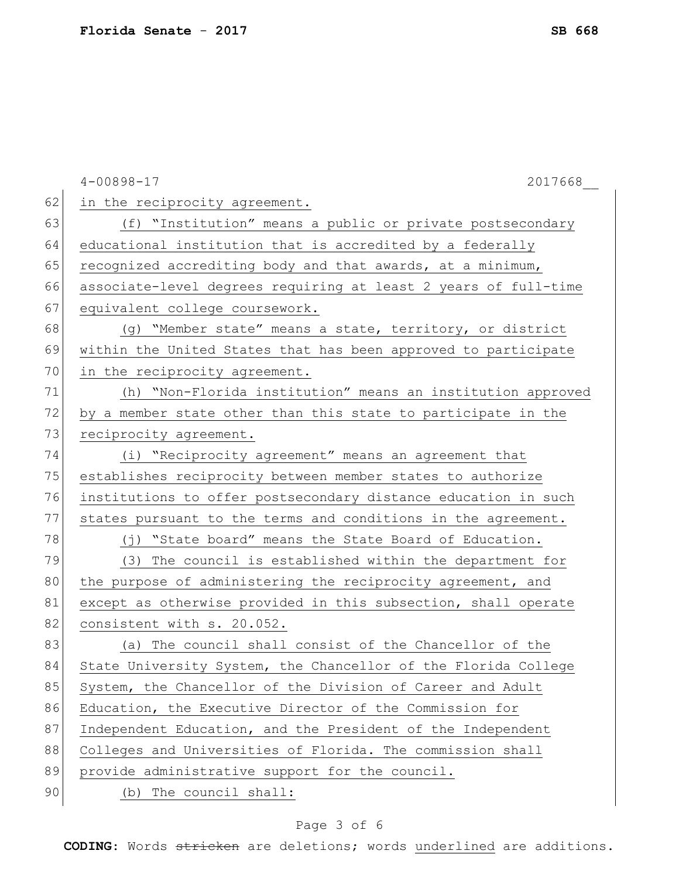|    | $4 - 00898 - 17$<br>2017668                                     |
|----|-----------------------------------------------------------------|
| 62 | in the reciprocity agreement.                                   |
| 63 | (f) "Institution" means a public or private postsecondary       |
| 64 | educational institution that is accredited by a federally       |
| 65 | recognized accrediting body and that awards, at a minimum,      |
| 66 | associate-level degrees requiring at least 2 years of full-time |
| 67 | equivalent college coursework.                                  |
| 68 | (g) "Member state" means a state, territory, or district        |
| 69 | within the United States that has been approved to participate  |
| 70 | in the reciprocity agreement.                                   |
| 71 | (h) "Non-Florida institution" means an institution approved     |
| 72 | by a member state other than this state to participate in the   |
| 73 | reciprocity agreement.                                          |
| 74 | (i) "Reciprocity agreement" means an agreement that             |
| 75 | establishes reciprocity between member states to authorize      |
| 76 | institutions to offer postsecondary distance education in such  |
| 77 | states pursuant to the terms and conditions in the agreement.   |
| 78 | (j) "State board" means the State Board of Education.           |
| 79 | (3)<br>The council is established within the department for     |
| 80 | the purpose of administering the reciprocity agreement, and     |
| 81 | except as otherwise provided in this subsection, shall operate  |
| 82 | consistent with s. 20.052.                                      |
| 83 | (a) The council shall consist of the Chancellor of the          |
| 84 | State University System, the Chancellor of the Florida College  |
| 85 | System, the Chancellor of the Division of Career and Adult      |
| 86 | Education, the Executive Director of the Commission for         |
| 87 | Independent Education, and the President of the Independent     |
| 88 | Colleges and Universities of Florida. The commission shall      |
| 89 | provide administrative support for the council.                 |
| 90 | (b) The council shall:                                          |

# Page 3 of 6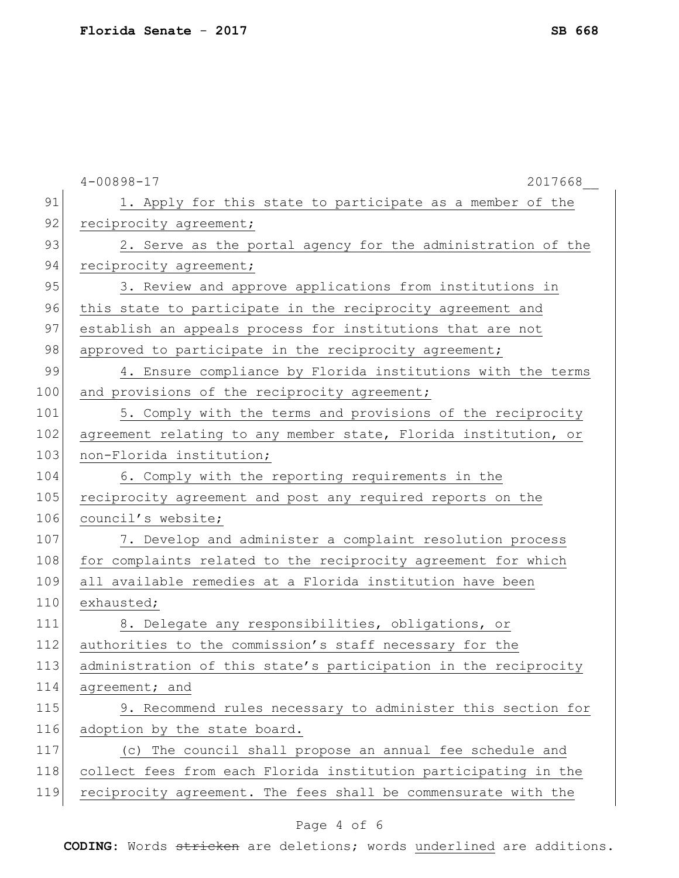|     | $4 - 00898 - 17$<br>2017668                                     |
|-----|-----------------------------------------------------------------|
| 91  | 1. Apply for this state to participate as a member of the       |
| 92  | reciprocity agreement;                                          |
| 93  | 2. Serve as the portal agency for the administration of the     |
| 94  | reciprocity agreement;                                          |
| 95  | 3. Review and approve applications from institutions in         |
| 96  | this state to participate in the reciprocity agreement and      |
| 97  | establish an appeals process for institutions that are not      |
| 98  | approved to participate in the reciprocity agreement;           |
| 99  | 4. Ensure compliance by Florida institutions with the terms     |
| 100 | and provisions of the reciprocity agreement;                    |
| 101 | 5. Comply with the terms and provisions of the reciprocity      |
| 102 | agreement relating to any member state, Florida institution, or |
| 103 | non-Florida institution;                                        |
| 104 | 6. Comply with the reporting requirements in the                |
| 105 | reciprocity agreement and post any required reports on the      |
| 106 | council's website;                                              |
| 107 | 7. Develop and administer a complaint resolution process        |
| 108 | for complaints related to the reciprocity agreement for which   |
| 109 | all available remedies at a Florida institution have been       |
| 110 | exhausted;                                                      |
| 111 | 8. Delegate any responsibilities, obligations, or               |
| 112 | authorities to the commission's staff necessary for the         |
| 113 | administration of this state's participation in the reciprocity |
| 114 | agreement; and                                                  |
| 115 | 9. Recommend rules necessary to administer this section for     |
| 116 | adoption by the state board.                                    |
| 117 | (c) The council shall propose an annual fee schedule and        |
| 118 | collect fees from each Florida institution participating in the |
| 119 | reciprocity agreement. The fees shall be commensurate with the  |

# Page 4 of 6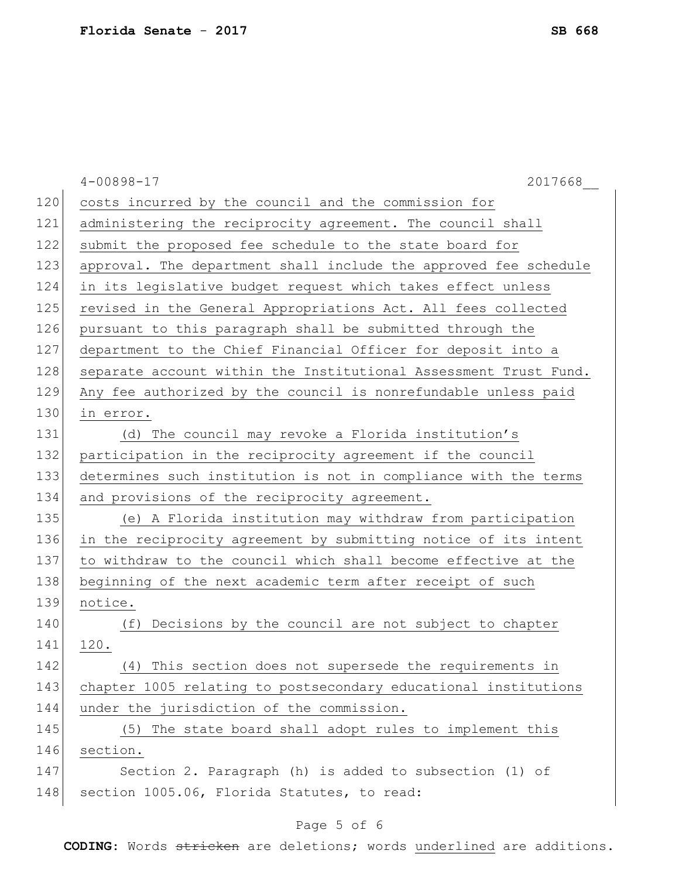|     | $4 - 00898 - 17$<br>2017668                                      |
|-----|------------------------------------------------------------------|
| 120 | costs incurred by the council and the commission for             |
| 121 | administering the reciprocity agreement. The council shall       |
| 122 | submit the proposed fee schedule to the state board for          |
| 123 | approval. The department shall include the approved fee schedule |
| 124 | in its legislative budget request which takes effect unless      |
| 125 | revised in the General Appropriations Act. All fees collected    |
| 126 | pursuant to this paragraph shall be submitted through the        |
| 127 | department to the Chief Financial Officer for deposit into a     |
| 128 | separate account within the Institutional Assessment Trust Fund. |
| 129 | Any fee authorized by the council is nonrefundable unless paid   |
| 130 | in error.                                                        |
| 131 | (d) The council may revoke a Florida institution's               |
| 132 | participation in the reciprocity agreement if the council        |
| 133 | determines such institution is not in compliance with the terms  |
| 134 | and provisions of the reciprocity agreement.                     |
| 135 | (e) A Florida institution may withdraw from participation        |
| 136 | in the reciprocity agreement by submitting notice of its intent  |
| 137 | to withdraw to the council which shall become effective at the   |
| 138 | beginning of the next academic term after receipt of such        |
| 139 | notice.                                                          |
| 140 | (f) Decisions by the council are not subject to chapter          |
| 141 | 120.                                                             |
| 142 | (4) This section does not supersede the requirements in          |
| 143 | chapter 1005 relating to postsecondary educational institutions  |
| 144 | under the jurisdiction of the commission.                        |
| 145 | (5) The state board shall adopt rules to implement this          |
| 146 | section.                                                         |
| 147 | Section 2. Paragraph (h) is added to subsection (1) of           |
| 148 | section 1005.06, Florida Statutes, to read:                      |

# Page 5 of 6